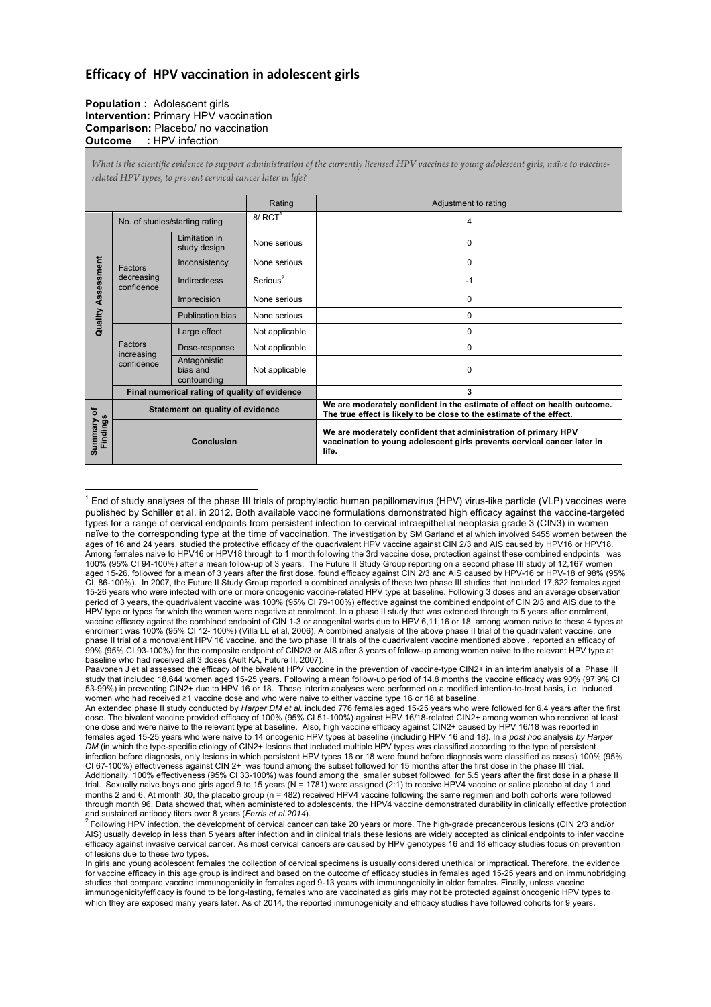## **Efficacy of HPV vaccination in adolescent girls**

## **Population :** Adolescent girls **Intervention:** Primary HPV vaccination **Comparison:** Placebo/ no vaccination **Outcome :** HPV infection

*What is the scientific evidence to support administration of the currently licensed HPV vaccines to young adolescent girls, naïve to vaccinerelated HPV types, to prevent cervical cancer later in life?*

|                               |                                               |                                         | Rating                | Adjustment to rating                                                                                                                               |
|-------------------------------|-----------------------------------------------|-----------------------------------------|-----------------------|----------------------------------------------------------------------------------------------------------------------------------------------------|
| <b>Quality Assessment</b>     | No. of studies/starting rating                |                                         | $8/$ RCT <sup>1</sup> | 4                                                                                                                                                  |
|                               | Factors<br>decreasing<br>confidence           | Limitation in<br>study design           | None serious          | 0                                                                                                                                                  |
|                               |                                               | Inconsistency                           | None serious          | $\Omega$                                                                                                                                           |
|                               |                                               | Indirectness                            | Serious <sup>2</sup>  | $-1$                                                                                                                                               |
|                               |                                               | Imprecision                             | None serious          | $\Omega$                                                                                                                                           |
|                               |                                               | <b>Publication bias</b>                 | None serious          | 0                                                                                                                                                  |
|                               | Factors<br>increasing<br>confidence           | Large effect                            | Not applicable        | $\Omega$                                                                                                                                           |
|                               |                                               | Dose-response                           | Not applicable        | $\Omega$                                                                                                                                           |
|                               |                                               | Antagonistic<br>bias and<br>confounding | Not applicable        | 0                                                                                                                                                  |
|                               | Final numerical rating of quality of evidence |                                         |                       | 3                                                                                                                                                  |
| ৳<br>Findings<br>ummary<br>ဖာ | Statement on quality of evidence              |                                         |                       | We are moderately confident in the estimate of effect on health outcome.<br>The true effect is likely to be close to the estimate of the effect.   |
|                               | <b>Conclusion</b>                             |                                         |                       | We are moderately confident that administration of primary HPV<br>vaccination to young adolescent girls prevents cervical cancer later in<br>life. |

 <sup>1</sup> End of study analyses of the phase III trials of prophylactic human papillomavirus (HPV) virus-like particle (VLP) vaccines were published by Schiller et al. in 2012. Both available vaccine formulations demonstrated high efficacy against the vaccine-targeted types for a range of cervical endpoints from persistent infection to cervical intraepithelial neoplasia grade 3 (CIN3) in women naïve to the corresponding type at the time of vaccination. The investigation by SM Garland et al which involved 5455 women between the ages of 16 and 24 years, studied the protective efficacy of the quadrivalent HPV vaccine against CIN 2/3 and AIS caused by HPV16 or HPV18.<br>Among females naive to HPV16 or HPV18 through to 1 month following the 3rd vaccine 100% (95% CI 94-100%) after a mean follow-up of 3 years. The Future II Study Group reporting on a second phase III study of 12,167 women aged 15-26, followed for a mean of 3 years after the first dose, found efficacy against CIN 2/3 and AIS caused by HPV-16 or HPV-18 of 98% (95% CI, 86-100%). In 2007, the Future II Study Group reported a combined analysis of these two phase III studies that included 17,622 females aged<br>15-26 years who were infected with one or more oncogenic vaccine-related HPV ty period of 3 years, the quadrivalent vaccine was 100% (95% CI 79-100%) effective against the combined endpoint of CIN 2/3 and AIS due to the HPV type or types for which the women were negative at enrolment. In a phase II study that was extended through to 5 years after enrolment,<br>vaccine efficacy against the combined endpoint of CIN 1-3 or anogenital warts due enrolment was 100% (95% CI 12- 100%) (Villa LL et al, 2006). A combined analysis of the above phase II trial of the quadrivalent vaccine, one phase II trial of a monovalent HPV 16 vaccine, and the two phase III trials of the quadrivalent vaccine mentioned above , reported an efficacy of 99% (95% CI 93-100%) for the composite endpoint of CIN2/3 or AIS after 3 years of follow-up among women naïve to the relevant HPV type at baseline who had received all 3 doses (Ault KA, Future II, 2007).

Paavonen J et al assessed the efficacy of the bivalent HPV vaccine in the prevention of vaccine-type CIN2+ in an interim analysis of a Phase III study that included 18,644 women aged 15-25 years. Following a mean follow-up period of 14.8 months the vaccine efficacy was 90% (97.9% CI 53-99%) in preventing CIN2+ due to HPV 16 or 18. These interim analyses were performed on a modified intention-to-treat basis, i.e. included women who had received ≥1 vaccine dose and who were naive to either vaccine type 16 or 18 at baseline.

An extended phase II study conducted by *Harper DM et al.* included 776 females aged 15-25 years who were followed for 6.4 years after the first dose. The bivalent vaccine provided efficacy of 100% (95% CI 51-100%) against HPV 16/18-related CIN2+ among women who received at least one dose and were naïve to the relevant type at baseline. Also, high vaccine efficacy against CIN2+ caused by HPV 16/18 was reported in females aged 15-25 years who were naive to 14 oncogenic HPV types at baseline (including HPV 16 and 18). In a *post hoc* analysis *by Harper DM* (in which the type-specific etiology of CIN2+ lesions that included multiple HPV types was classified according to the type of persistent infection before diagnosis, only lesions in which persistent HPV types 16 or 18 were found before diagnosis were classified as cases) 100% (95% CI 67-100%) effectiveness against CIN 2+ was found among the subset followed for 15 months after the first dose in the phase III trial. Additionally, 100% effectiveness (95% CI 33-100%) was found among the smaller subset followed for 5.5 years after the first dose in a phase II trial. Sexually naive boys and girls aged 9 to 15 years (N = 1781) were assigned (2:1) to receive HPV4 vaccine or saline placebo at day 1 and months 2 and 6. At month 30, the placebo group (n = 482) received HPV4 vaccine following the same regimen and both cohorts were followed<br>through month 96. Data showed that, when administered to adolescents, the HPV4 vaccin and sustained antibody titers over 8 years (*Ferris et al.2014*). 2 Following 10 and sustained antibody titers over 8 years or more. The high-grade precancerous lesions (CIN 2/3 and/or

AIS) usually develop in less than 5 years after infection and in clinical trials these lesions are widely accepted as clinical endpoints to infer vaccine efficacy against invasive cervical cancer. As most cervical cancers are caused by HPV genotypes 16 and 18 efficacy studies focus on prevention of lesions due to these two types.

In girls and young adolescent females the collection of cervical specimens is usually considered unethical or impractical. Therefore, the evidence for vaccine efficacy in this age group is indirect and based on the outcome of efficacy studies in females aged 15-25 years and on immunobridging studies that compare vaccine immunogenicity in females aged 9-13 years with immunogenicity in older females. Finally, unless vaccine immunogenicity/efficacy is found to be long-lasting, females who are vaccinated as girls may not be protected against oncogenic HPV types to which they are exposed many years later. As of 2014, the reported immunogenicity and efficacy studies have followed cohorts for 9 years.